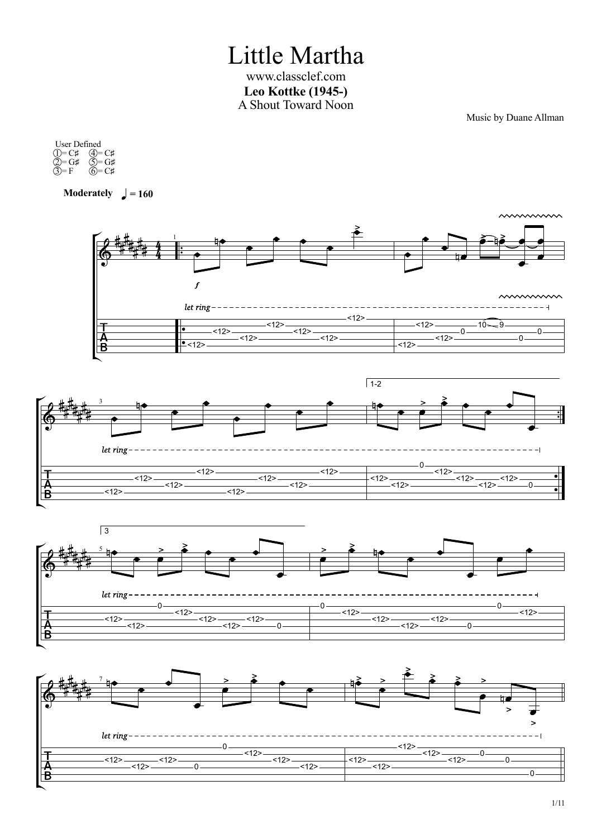Little Martha www.classclef.com **Leo Kottke (1945-)** A Shout Toward Noon

Music by Duane Allman

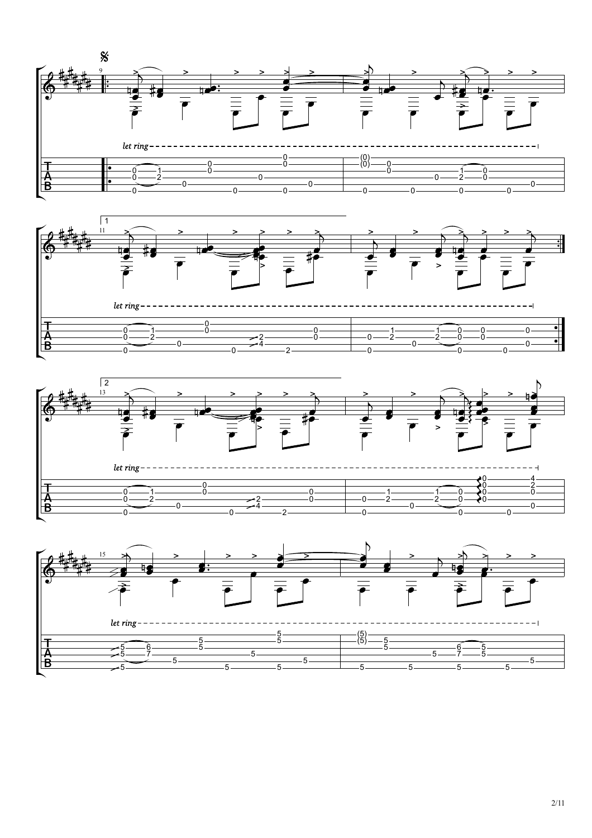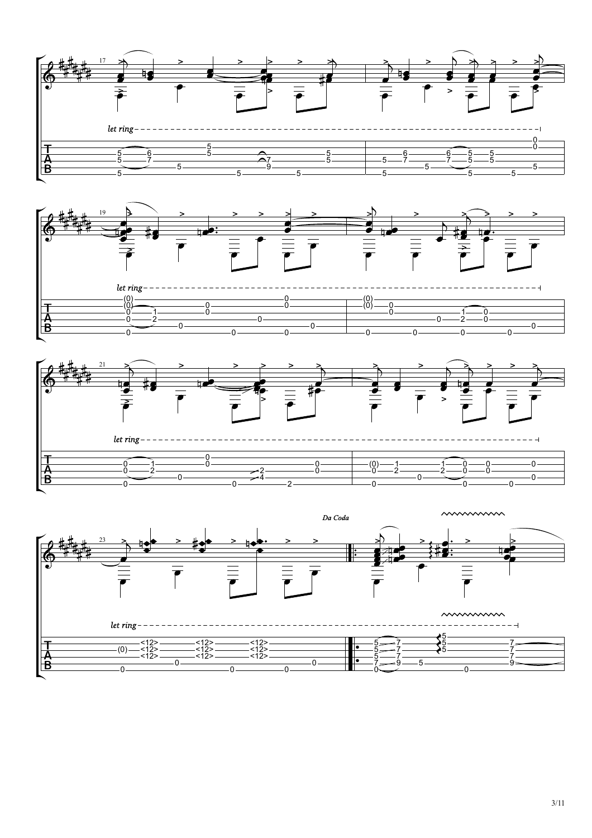





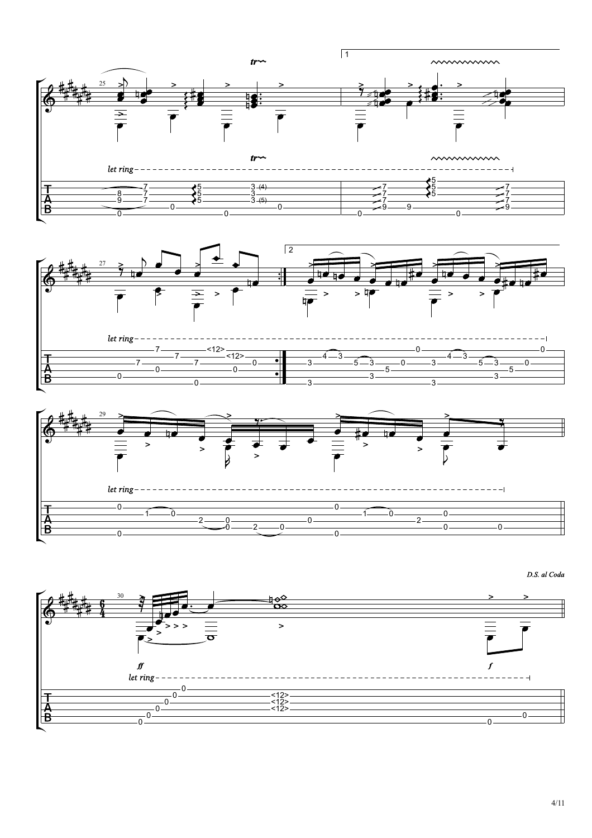

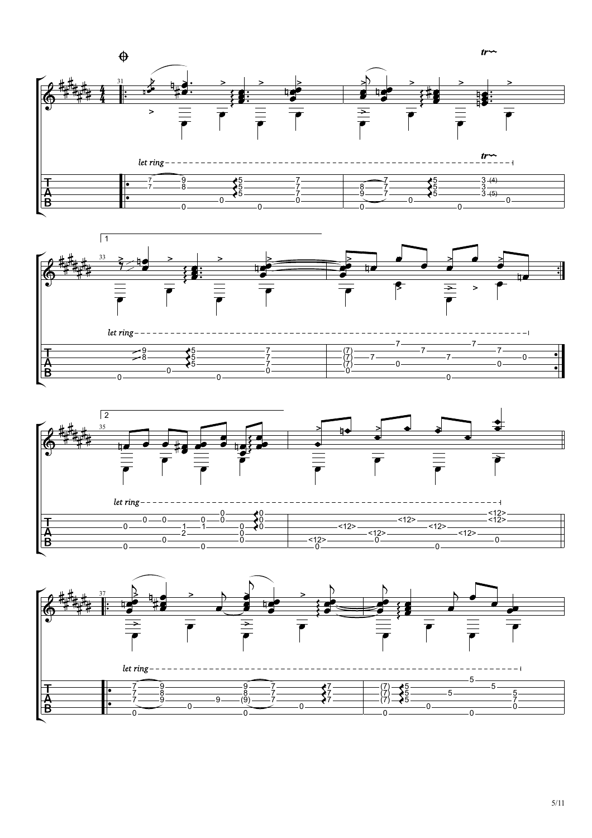





5/11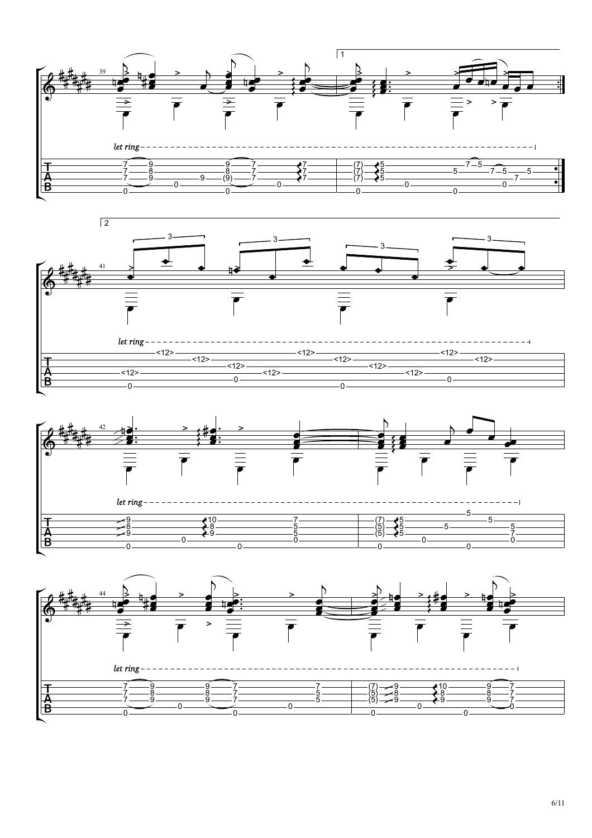





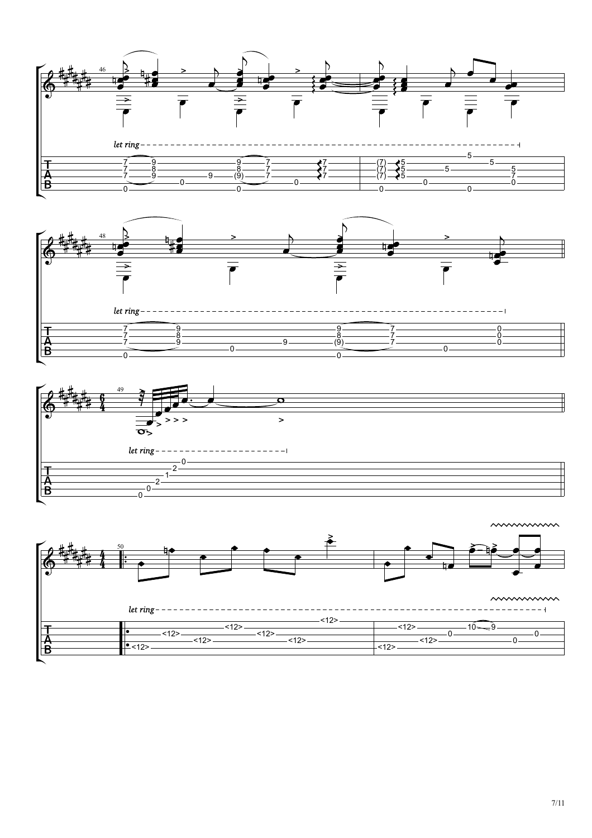







7/11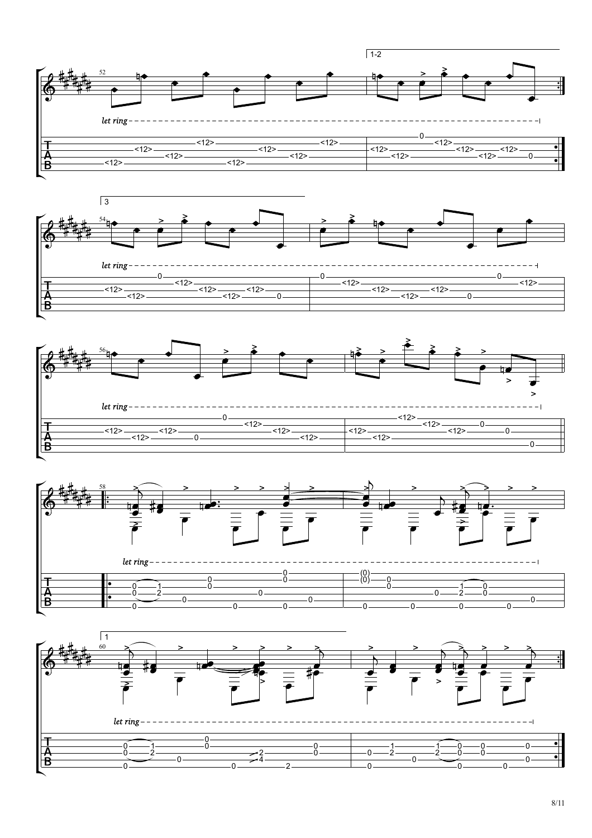







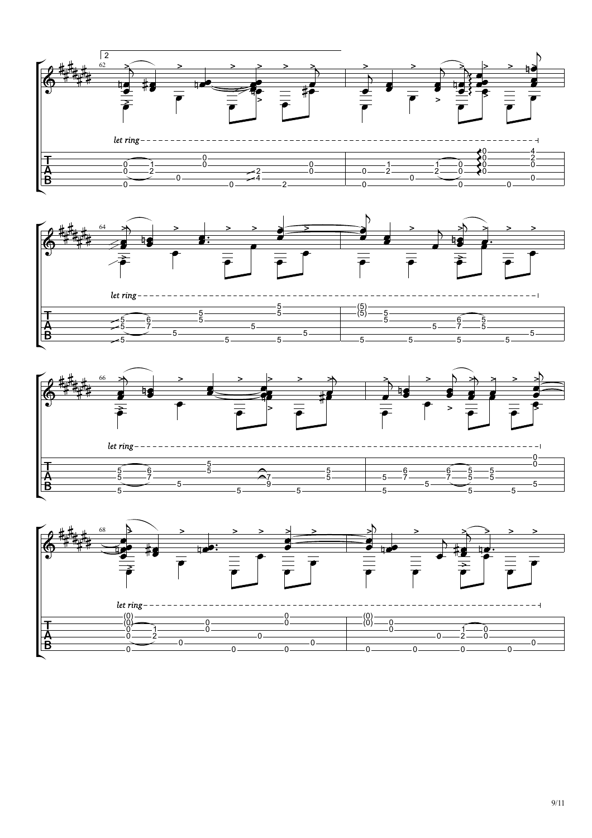

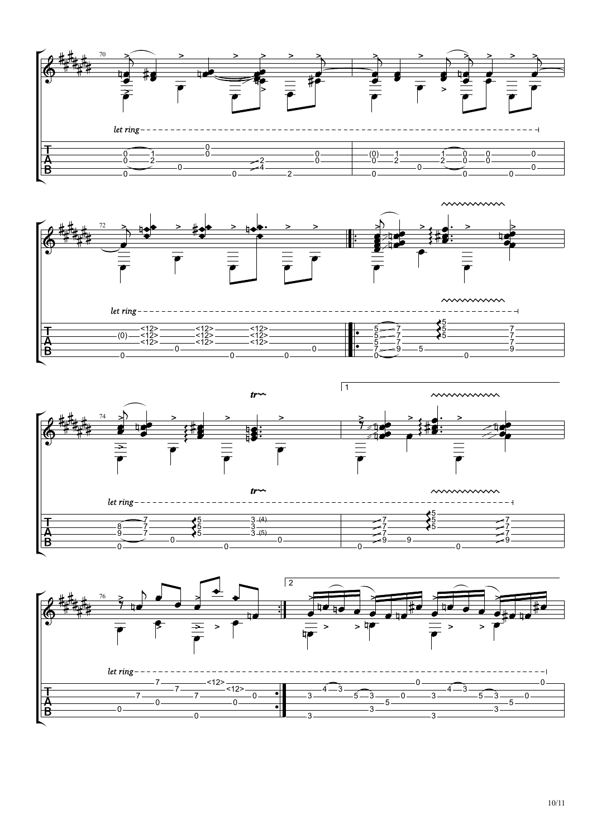